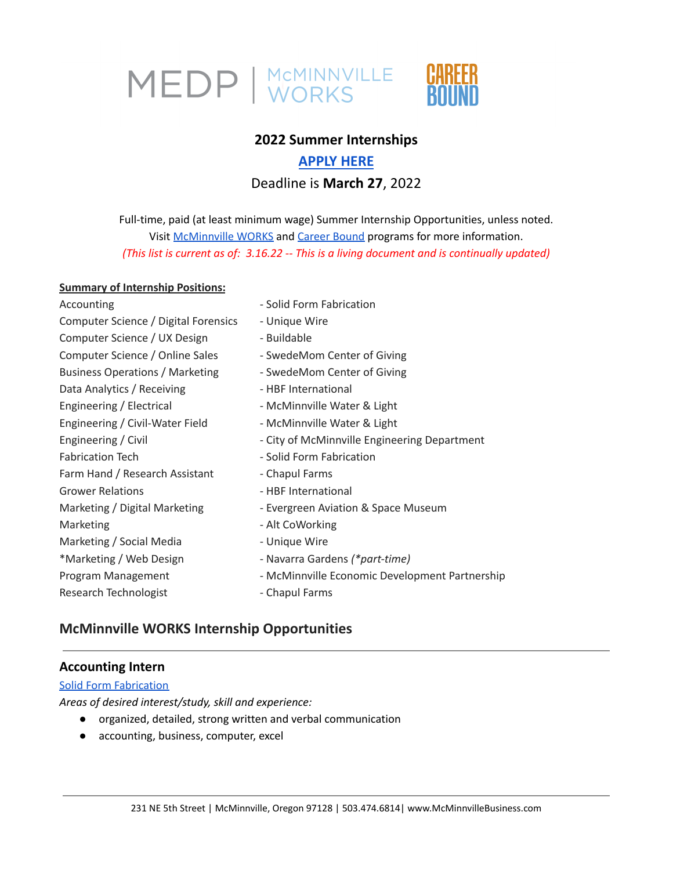

# **2022 Summer Internships**

# **[APPLY](https://www.mcminnvillebusiness.com/2022-internship-application-form) HERE** Deadline is **March 27**, 2022

Full-time, paid (at least minimum wage) Summer Internship Opportunities, unless noted. Visit [McMinnville](https://www.mcminnvillebusiness.com/mcminnville-works-internship-program) WORKS and [Career](https://www.mcminnvillebusiness.com/career-bound-program) Bound programs for more information. *(This list is current as of: 3.16.22 -- This is a living document and is continually updated)*

#### **Summary of Internship Positions:**

| Accounting                             | - Solid Form Fabrication                       |
|----------------------------------------|------------------------------------------------|
| Computer Science / Digital Forensics   | - Unique Wire                                  |
| Computer Science / UX Design           | - Buildable                                    |
| Computer Science / Online Sales        | - SwedeMom Center of Giving                    |
| <b>Business Operations / Marketing</b> | - SwedeMom Center of Giving                    |
| Data Analytics / Receiving             | - HBF International                            |
| Engineering / Electrical               | - McMinnville Water & Light                    |
| Engineering / Civil-Water Field        | - McMinnville Water & Light                    |
| Engineering / Civil                    | - City of McMinnville Engineering Department   |
| <b>Fabrication Tech</b>                | - Solid Form Fabrication                       |
| Farm Hand / Research Assistant         | - Chapul Farms                                 |
| <b>Grower Relations</b>                | - HBF International                            |
| Marketing / Digital Marketing          | - Evergreen Aviation & Space Museum            |
| Marketing                              | - Alt CoWorking                                |
| Marketing / Social Media               | - Unique Wire                                  |
| *Marketing / Web Design                | - Navarra Gardens (*part-time)                 |
| Program Management                     | - McMinnville Economic Development Partnership |
| Research Technologist                  | - Chapul Farms                                 |
|                                        |                                                |

# **McMinnville WORKS Internship Opportunities**

# **Accounting Intern**

#### **Solid Form [Fabrication](https://teamsolidform.com/)**

*Areas of desired interest/study, skill and experience:*

- organized, detailed, strong written and verbal communication
- accounting, business, computer, excel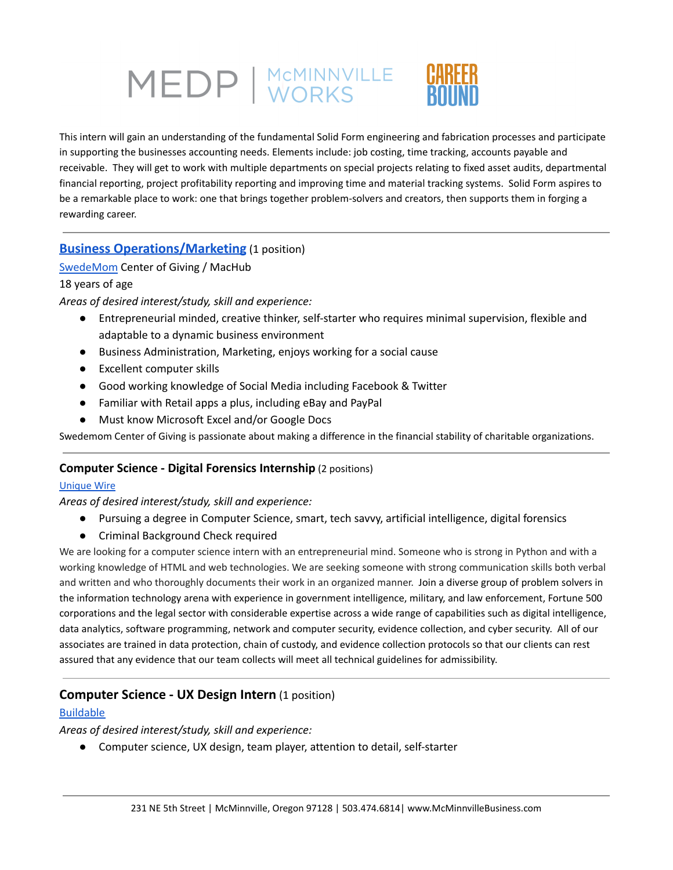This intern will gain an understanding of the fundamental Solid Form engineering and fabrication processes and participate in supporting the businesses accounting needs. Elements include: job costing, time tracking, accounts payable and receivable. They will get to work with multiple departments on special projects relating to fixed asset audits, departmental financial reporting, project profitability reporting and improving time and material tracking systems. Solid Form aspires to be a remarkable place to work: one that brings together problem-solvers and creators, then supports them in forging a rewarding career.

# **Business [Operations/Marketing](https://www.mcminnvillebusiness.com/pub/doc/Job-Description-Online-Sales-Marketing-Swedemom-Internships-2022.pdf)** (1 position)

[SwedeMom](https://www.swedemomcenterofgiving.org/) Center of Giving / MacHub

#### 18 years of age

*Areas of desired interest/study, skill and experience:*

- Entrepreneurial minded, creative thinker, self-starter who requires minimal supervision, flexible and adaptable to a dynamic business environment
- Business Administration, Marketing, enjoys working for a social cause
- Excellent computer skills
- Good working knowledge of Social Media including Facebook & Twitter
- Familiar with Retail apps a plus, including eBay and PayPal
- Must know Microsoft Excel and/or Google Docs

Swedemom Center of Giving is passionate about making a difference in the financial stability of charitable organizations.

#### **Computer Science - Digital Forensics Internship** (2 positions)

#### [Unique](https://www.unique-wire.com/unique-wire-legal-defense-services?gclid=Cj0KCQiAr5iQBhCsARIsAPcwROOxiv2MRZhLFROonkflASzsFT8kw-5-driLkjn1vS1UgGdn4NjcSkkaAtVCEALw_wcB) Wire

#### *Areas of desired interest/study, skill and experience:*

- Pursuing a degree in Computer Science, smart, tech savvy, artificial intelligence, digital forensics
- Criminal Background Check required

We are looking for a computer science intern with an entrepreneurial mind. Someone who is strong in Python and with a working knowledge of HTML and web technologies. We are seeking someone with strong communication skills both verbal and written and who thoroughly documents their work in an organized manner. Join a diverse group of problem solvers in the information technology arena with experience in government intelligence, military, and law enforcement, Fortune 500 corporations and the legal sector with considerable expertise across a wide range of capabilities such as digital intelligence, data analytics, software programming, network and computer security, evidence collection, and cyber security. All of our associates are trained in data protection, chain of custody, and evidence collection protocols so that our clients can rest assured that any evidence that our team collects will meet all technical guidelines for admissibility.

#### **Computer Science - UX Design Intern** (1 position)

#### [Buildable](https://www.buildableworks.com/)

#### *Areas of desired interest/study, skill and experience:*

● Computer science, UX design, team player, attention to detail, self-starter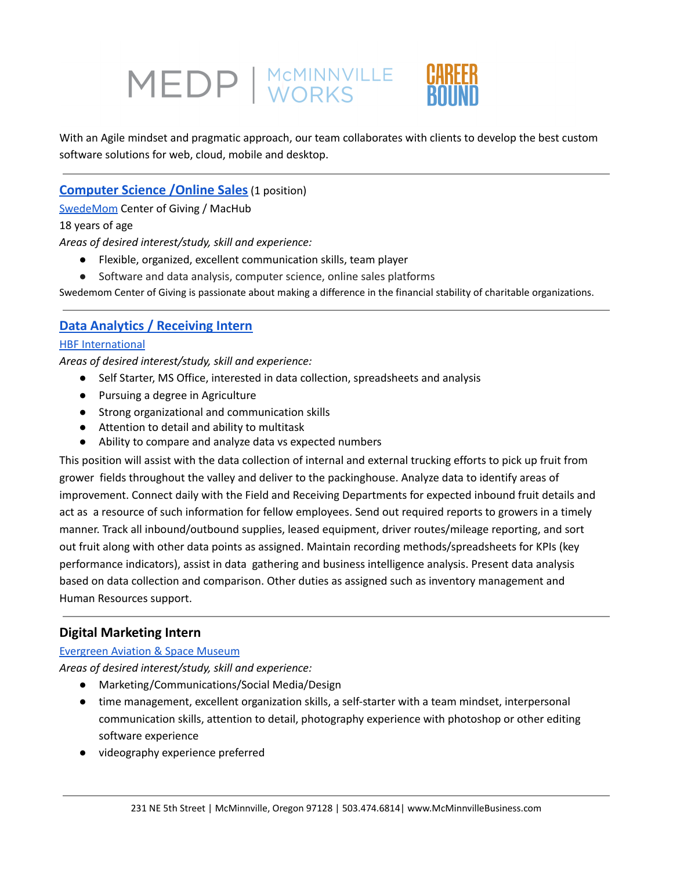

With an Agile mindset and pragmatic approach, our team collaborates with clients to develop the best custom software solutions for web, cloud, mobile and desktop.

# **[Computer](https://www.mcminnvillebusiness.com/pub/doc/Job-Description-Online-Sales-Marketing-Swedemom-Internships-2022.pdf) Science /Online Sales**(1 position)

[SwedeMom](https://www.swedemomcenterofgiving.org/) Center of Giving / MacHub

18 years of age

*Areas of desired interest/study, skill and experience:*

- Flexible, organized, excellent communication skills, team player
- Software and data analysis, computer science, online sales platforms

Swedemom Center of Giving is passionate about making a difference in the financial stability of charitable organizations.

# **Data Analytics / [Receiving](https://www.mcminnvillebusiness.com/pub/doc/Job-Description_Data-Analytics-Coordinator_Intern-HBF_2022.pdf) Intern**

#### **HBF [International](https://hbfberries.com/)**

*Areas of desired interest/study, skill and experience:*

- Self Starter, MS Office, interested in data collection, spreadsheets and analysis
- Pursuing a degree in Agriculture
- Strong organizational and communication skills
- Attention to detail and ability to multitask
- Ability to compare and analyze data vs expected numbers

This position will assist with the data collection of internal and external trucking efforts to pick up fruit from grower fields throughout the valley and deliver to the packinghouse. Analyze data to identify areas of improvement. Connect daily with the Field and Receiving Departments for expected inbound fruit details and act as a resource of such information for fellow employees. Send out required reports to growers in a timely manner. Track all inbound/outbound supplies, leased equipment, driver routes/mileage reporting, and sort out fruit along with other data points as assigned. Maintain recording methods/spreadsheets for KPIs (key performance indicators), assist in data gathering and business intelligence analysis. Present data analysis based on data collection and comparison. Other duties as assigned such as inventory management and Human Resources support.

# **Digital Marketing Intern**

#### [Evergreen](https://www.evergreenmuseum.org/) Aviation & Space Museum

*Areas of desired interest/study, skill and experience:*

- Marketing/Communications/Social Media/Design
- time management, excellent organization skills, a self-starter with a team mindset, interpersonal communication skills, attention to detail, photography experience with photoshop or other editing software experience
- videography experience preferred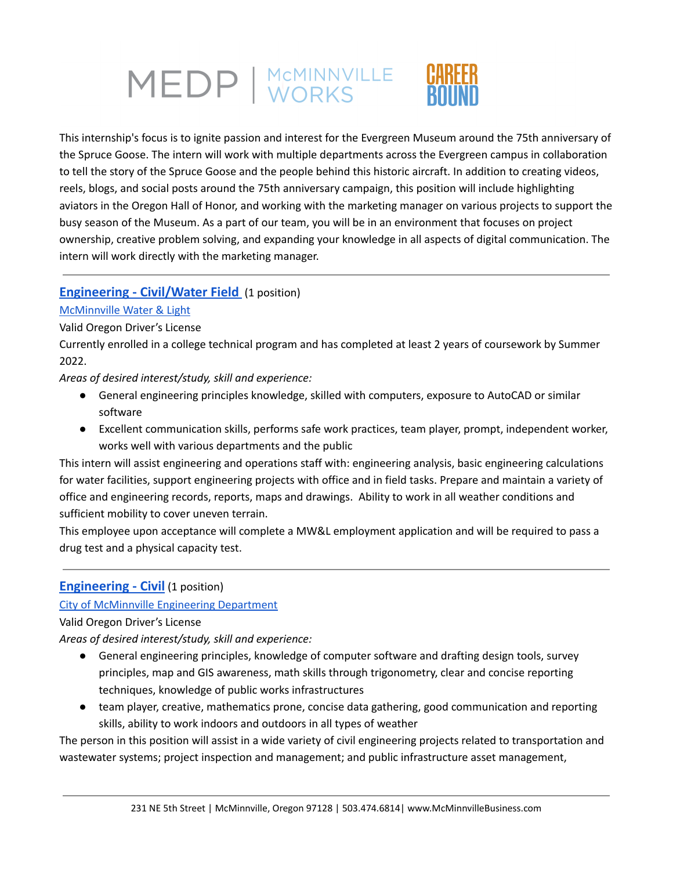

This internship's focus is to ignite passion and interest for the Evergreen Museum around the 75th anniversary of the Spruce Goose. The intern will work with multiple departments across the Evergreen campus in collaboration to tell the story of the Spruce Goose and the people behind this historic aircraft. In addition to creating videos, reels, blogs, and social posts around the 75th anniversary campaign, this position will include highlighting aviators in the Oregon Hall of Honor, and working with the marketing manager on various projects to support the busy season of the Museum. As a part of our team, you will be in an environment that focuses on project ownership, creative problem solving, and expanding your knowledge in all aspects of digital communication. The intern will work directly with the marketing manager.

### **[Engineering](https://www.mcminnvillebusiness.com/pub/doc/Job-Description-Civil-Engineering-Intern-MWL-2022.pdf) - Civil/Water Field** (1 position)

#### [McMinnville](https://www.mc-power.com/about/history/) Water & Light

#### Valid Oregon Driver's License

Currently enrolled in a college technical program and has completed at least 2 years of coursework by Summer 2022.

*Areas of desired interest/study, skill and experience:*

- General engineering principles knowledge, skilled with computers, exposure to AutoCAD or similar software
- Excellent communication skills, performs safe work practices, team player, prompt, independent worker, works well with various departments and the public

This intern will assist engineering and operations staff with: engineering analysis, basic engineering calculations for water facilities, support engineering projects with office and in field tasks. Prepare and maintain a variety of office and engineering records, reports, maps and drawings. Ability to work in all weather conditions and sufficient mobility to cover uneven terrain.

This employee upon acceptance will complete a MW&L employment application and will be required to pass a drug test and a physical capacity test.

# **[Engineering](https://www.mcminnvillebusiness.com/pub/doc/Job-Description-City-of-McMinnville-Engineering-Internship-2022.pdf) - Civil** (1 position)

#### City of [McMinnville](https://www.mcminnvilleoregon.gov/engineering) Engineering Department

#### Valid Oregon Driver's License

*Areas of desired interest/study, skill and experience:*

- General engineering principles, knowledge of computer software and drafting design tools, survey principles, map and GIS awareness, math skills through trigonometry, clear and concise reporting techniques, knowledge of public works infrastructures
- team player, creative, mathematics prone, concise data gathering, good communication and reporting skills, ability to work indoors and outdoors in all types of weather

The person in this position will assist in a wide variety of civil engineering projects related to transportation and wastewater systems; project inspection and management; and public infrastructure asset management,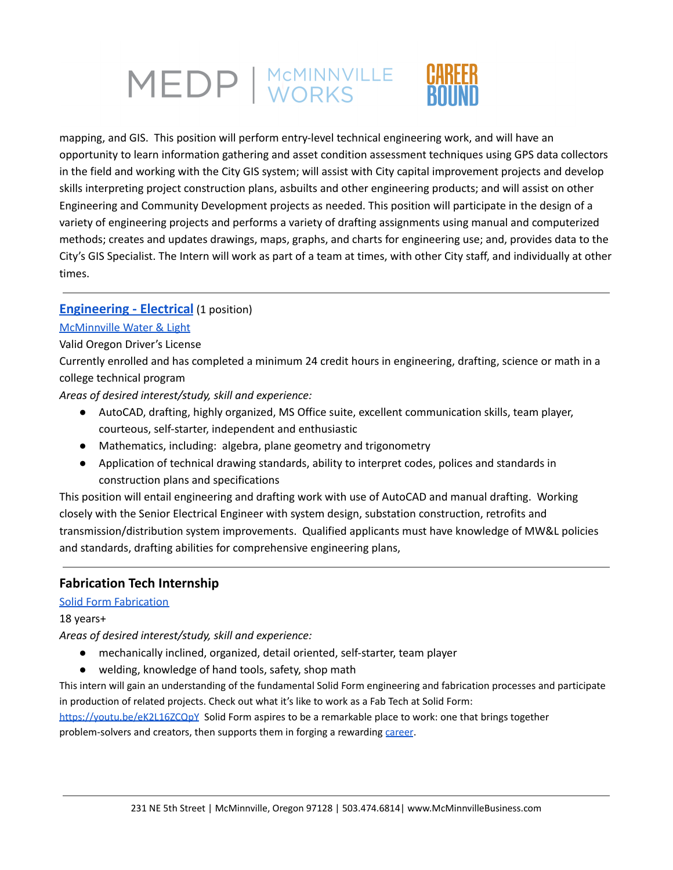

mapping, and GIS. This position will perform entry-level technical engineering work, and will have an opportunity to learn information gathering and asset condition assessment techniques using GPS data collectors in the field and working with the City GIS system; will assist with City capital improvement projects and develop skills interpreting project construction plans, asbuilts and other engineering products; and will assist on other Engineering and Community Development projects as needed. This position will participate in the design of a variety of engineering projects and performs a variety of drafting assignments using manual and computerized methods; creates and updates drawings, maps, graphs, and charts for engineering use; and, provides data to the City's GIS Specialist. The Intern will work as part of a team at times, with other City staff, and individually at other times.

### **[Engineering](https://www.mcminnvillebusiness.com/pub/doc/Job-Description-Electrical-Engineering-Intern-MWL-2022.pdf) - Electrical** (1 position)

#### [McMinnville](https://www.mc-power.com/about/history/) Water & Light

#### Valid Oregon Driver's License

Currently enrolled and has completed a minimum 24 credit hours in engineering, drafting, science or math in a college technical program

*Areas of desired interest/study, skill and experience:*

- AutoCAD, drafting, highly organized, MS Office suite, excellent communication skills, team player, courteous, self-starter, independent and enthusiastic
- Mathematics, including: algebra, plane geometry and trigonometry
- Application of technical drawing standards, ability to interpret codes, polices and standards in construction plans and specifications

This position will entail engineering and drafting work with use of AutoCAD and manual drafting. Working closely with the Senior Electrical Engineer with system design, substation construction, retrofits and transmission/distribution system improvements. Qualified applicants must have knowledge of MW&L policies and standards, drafting abilities for comprehensive engineering plans,

# **Fabrication Tech Internship**

#### Solid Form [Fabrication](https://teamsolidform.com/)

#### 18 years+

*Areas of desired interest/study, skill and experience:*

- mechanically inclined, organized, detail oriented, self-starter, team player
- welding, knowledge of hand tools, safety, shop math

This intern will gain an understanding of the fundamental Solid Form engineering and fabrication processes and participate in production of related projects. Check out what it's like to work as a Fab Tech at Solid Form:

<https://youtu.be/eK2L16ZCQpY> Solid Form aspires to be a remarkable place to work: one that brings together problem-solvers and creators, then supports them in forging a rewarding [career](https://www.mcminnvillebusiness.com/pub/doc/Solid-Form-Career-Ladder.pdf).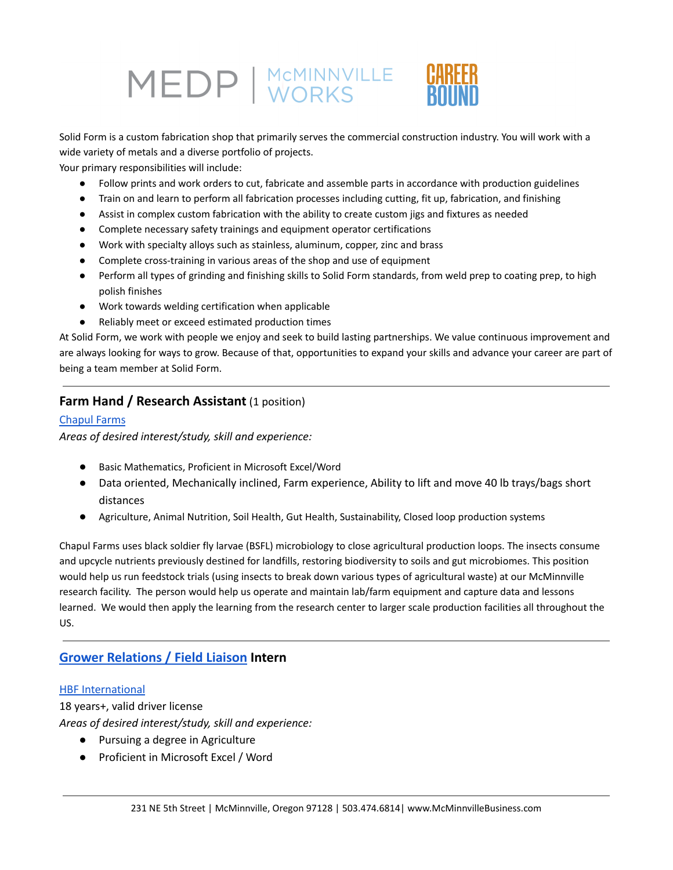Solid Form is a custom fabrication shop that primarily serves the commercial construction industry. You will work with a wide variety of metals and a diverse portfolio of projects.

Your primary responsibilities will include:

- Follow prints and work orders to cut, fabricate and assemble parts in accordance with production guidelines
- Train on and learn to perform all fabrication processes including cutting, fit up, fabrication, and finishing
- Assist in complex custom fabrication with the ability to create custom jigs and fixtures as needed
- Complete necessary safety trainings and equipment operator certifications
- Work with specialty alloys such as stainless, aluminum, copper, zinc and brass
- Complete cross-training in various areas of the shop and use of equipment
- Perform all types of grinding and finishing skills to Solid Form standards, from weld prep to coating prep, to high polish finishes
- Work towards welding certification when applicable
- Reliably meet or exceed estimated production times

At Solid Form, we work with people we enjoy and seek to build lasting partnerships. We value continuous improvement and are always looking for ways to grow. Because of that, opportunities to expand your skills and advance your career are part of being a team member at Solid Form.

# **Farm Hand / Research Assistant** (1 position)

#### [Chapul](https://www.chapulfarms.com/) Farms

*Areas of desired interest/study, skill and experience:*

- *●* Basic Mathematics, Proficient in Microsoft Excel/Word
- Data oriented, Mechanically inclined, Farm experience, Ability to lift and move 40 lb trays/bags short distances
- Agriculture, Animal Nutrition, Soil Health, Gut Health, Sustainability, Closed loop production systems

Chapul Farms uses black soldier fly larvae (BSFL) microbiology to close agricultural production loops. The insects consume and upcycle nutrients previously destined for landfills, restoring biodiversity to soils and gut microbiomes. This position would help us run feedstock trials (using insects to break down various types of agricultural waste) at our McMinnville research facility. The person would help us operate and maintain lab/farm equipment and capture data and lessons learned. We would then apply the learning from the research center to larger scale production facilities all throughout the US.

# **Grower [Relations](https://www.mcminnvillebusiness.com/pub/doc/Job-Description_Grower-Relations-Support_Intern-HBF_2022.pdf) / Field Liaison Intern**

#### **HBF [International](https://hbfberries.com/)**

18 years+, valid driver license

*Areas of desired interest/study, skill and experience:*

- Pursuing a degree in Agriculture
- Proficient in Microsoft Excel / Word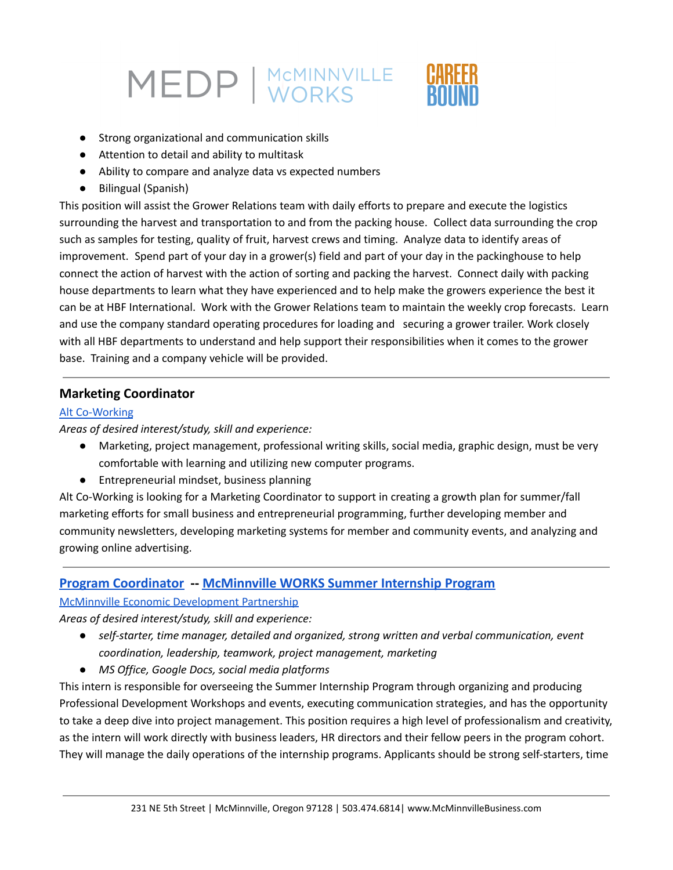- Strong organizational and communication skills
- Attention to detail and ability to multitask
- Ability to compare and analyze data vs expected numbers
- Bilingual (Spanish)

This position will assist the Grower Relations team with daily efforts to prepare and execute the logistics surrounding the harvest and transportation to and from the packing house. Collect data surrounding the crop such as samples for testing, quality of fruit, harvest crews and timing. Analyze data to identify areas of improvement. Spend part of your day in a grower(s) field and part of your day in the packinghouse to help connect the action of harvest with the action of sorting and packing the harvest. Connect daily with packing house departments to learn what they have experienced and to help make the growers experience the best it can be at HBF International. Work with the Grower Relations team to maintain the weekly crop forecasts. Learn and use the company standard operating procedures for loading and securing a grower trailer. Work closely with all HBF departments to understand and help support their responsibilities when it comes to the grower base. Training and a company vehicle will be provided.

### **Marketing Coordinator**

#### Alt [Co-Working](https://altcoworking.com/)

*Areas of desired interest/study, skill and experience:*

- Marketing, project management, professional writing skills, social media, graphic design, must be very comfortable with learning and utilizing new computer programs.
- Entrepreneurial mindset, business planning

Alt Co-Working is looking for a Marketing Coordinator to support in creating a growth plan for summer/fall marketing efforts for small business and entrepreneurial programming, further developing member and community newsletters, developing marketing systems for member and community events, and analyzing and growing online advertising.

#### **Program [Coordinator](https://www.mcminnvillebusiness.com/pub/doc/Job-Description-MEDP-Internship-Coordinator-2022.pdf) -- [McMinnville](https://www.mcminnvillebusiness.com/mcminnville-works-internship-program) WORKS Summer Internship Program**

McMinnville Economic [Development](https://www.mcminnvillebusiness.com/) Partnership

*Areas of desired interest/study, skill and experience:*

- *● self-starter, time manager, detailed and organized, strong written and verbal communication, event coordination, leadership, teamwork, project management, marketing*
- *● MS Office, Google Docs, social media platforms*

This intern is responsible for overseeing the Summer Internship Program through organizing and producing Professional Development Workshops and events, executing communication strategies, and has the opportunity to take a deep dive into project management. This position requires a high level of professionalism and creativity, as the intern will work directly with business leaders, HR directors and their fellow peers in the program cohort. They will manage the daily operations of the internship programs. Applicants should be strong self-starters, time